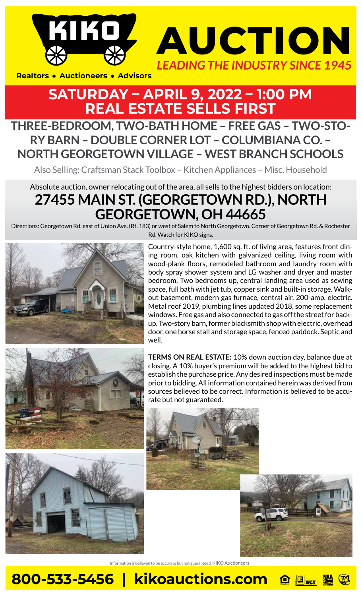



**Realtors • Auctioneers • Advisors** 

## **SATURDAY – APRIL 9, 2022 – 1:00 PM REAL ESTATE SELLS FIRST**

## **THREE-BEDROOM, TWO-BATH HOME – FREE GAS – TWO-STO-RY BARN – DOUBLE CORNER LOT – COLUMBIANA CO. – NORTH GEORGETOWN VILLAGE – WEST BRANCH SCHOOLS**

Also Selling: Craftsman Stack Toolbox – Kitchen Appliances – Misc. Household

## Absolute auction, owner relocating out of the area, all sells to the highest bidders on location: **27455 MAIN ST. (GEORGETOWN RD.), NORTH GEORGETOWN, OH 44665**

Directions: Georgetown Rd. east of Union Ave. (Rt. 183) or west of Salem to North Georgetown. Corner of Georgetown Rd. & Rochester Rd. Watch for KIKO signs.





Country-style home, 1,600 sq. ft. of living area, features front dining room, oak kitchen with galvanized ceiling, living room with wood-plank floors, remodeled bathroom and laundry room with body spray shower system and LG washer and dryer and master bedroom. Two bedrooms up, central landing area used as sewing space, full bath with jet tub, copper sink and built-in storage. Walkout basement, modern gas furnace, central air, 200-amp. electric. Metal roof 2019, plumbing lines updated 2018, some replacement windows. Free gas and also connected to gas off the street for backup. Two-story barn, former blacksmith shop with electric, overhead door, one horse stall and storage space, fenced paddock. Septic and well.

**TERMS ON REAL ESTATE:** 10% down auction day, balance due at closing. A 10% buyer's premium will be added to the highest bid to establish the purchase price. Any desired inspections must be made prior to bidding. All information contained herein was derived from sources believed to be correct. Information is believed to be accurate but not guaranteed.





Information is believed to be accurate but not guaranteed. KIKO Auctioneers

**800-533-5456 | kikoauctions.com**